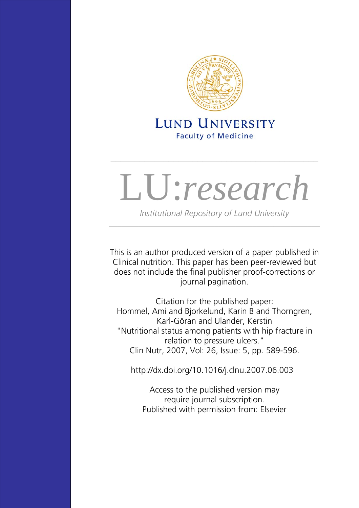

# **LUND UNIVERSITY Faculty of Medicine**

\_\_\_\_\_\_\_\_\_\_\_\_\_\_\_\_\_\_\_\_\_\_\_\_\_\_\_\_\_\_\_\_\_\_\_\_\_\_\_\_\_\_\_

# LU:*research*

*Institutional Repository of Lund University*  \_\_\_\_\_\_\_\_\_\_\_\_\_\_\_\_\_\_\_\_\_\_\_\_\_\_\_\_\_\_\_\_\_\_\_\_\_\_\_\_\_\_\_\_\_\_\_\_\_\_

This is an author produced version of a paper published in Clinical nutrition. This paper has been peer-reviewed but does not include the final publisher proof-corrections or journal pagination.

Citation for the published paper: Hommel, Ami and Bjorkelund, Karin B and Thorngren, Karl-Göran and Ulander, Kerstin "Nutritional status among patients with hip fracture in relation to pressure ulcers." Clin Nutr, 2007, Vol: 26, Issue: 5, pp. 589-596.

<http://dx.doi.org/10.1016/j.clnu.2007.06.003>

Access to the published version may require journal subscription. Published with permission from: Elsevier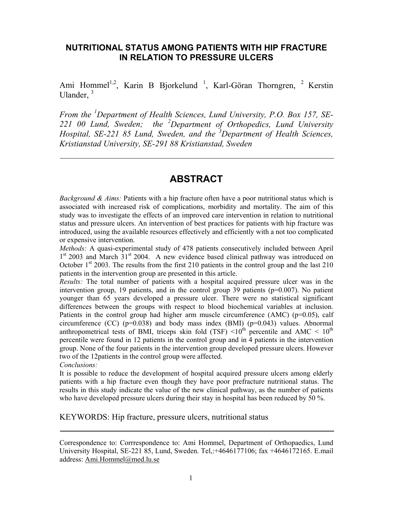#### **NUTRITIONAL STATUS AMONG PATIENTS WITH HIP FRACTURE IN RELATION TO PRESSURE ULCERS**

Ami Hommel<sup>1,2</sup>, Karin B Bjorkelund<sup>1</sup>, Karl-Göran Thorngren, <sup>2</sup> Kerstin Ulander, <sup>3</sup>

*From the <sup>1</sup> Department of Health Sciences, Lund University, P.O. Box 157, SE-221 00 Lund, Sweden; the <sup>2</sup> Department of Orthopedics, Lund University Hospital, SE-221 85 Lund, Sweden, and the <sup>3</sup> Department of Health Sciences, Kristianstad University, SE-291 88 Kristianstad, Sweden* 

#### **ABSTRACT**

*Background & Aims:* Patients with a hip fracture often have a poor nutritional status which is associated with increased risk of complications, morbidity and mortality. The aim of this study was to investigate the effects of an improved care intervention in relation to nutritional status and pressure ulcers. An intervention of best practices for patients with hip fracture was introduced, using the available resources effectively and efficiently with a not too complicated or expensive intervention.

*Methods:* A quasi-experimental study of 478 patients consecutively included between April  $1<sup>st</sup>$  2003 and March 31 $<sup>st</sup>$  2004. A new evidence based clinical pathway was introduced on</sup> October  $1<sup>st</sup>$  2003. The results from the first 210 patients in the control group and the last 210 patients in the intervention group are presented in this article.

*Results:* The total number of patients with a hospital acquired pressure ulcer was in the intervention group, 19 patients, and in the control group 39 patients ( $p=0.007$ ). No patient younger than 65 years developed a pressure ulcer. There were no statistical significant differences between the groups with respect to blood biochemical variables at inclusion. Patients in the control group had higher arm muscle circumference  $(AMC)$  ( $p=0.05$ ), calf circumference (CC) ( $p=0.038$ ) and body mass index (BMI) ( $p=0.043$ ) values. Abnormal anthropometrical tests of BMI, triceps skin fold (TSF)  $\leq 10^{th}$  percentile and AMC  $\leq 10^{th}$ percentile were found in 12 patients in the control group and in 4 patients in the intervention group. None of the four patients in the intervention group developed pressure ulcers. However two of the 12patients in the control group were affected.

*Conclusions:* 

It is possible to reduce the development of hospital acquired pressure ulcers among elderly patients with a hip fracture even though they have poor prefracture nutritional status. The results in this study indicate the value of the new clinical pathway, as the number of patients who have developed pressure ulcers during their stay in hospital has been reduced by 50 %.

KEYWORDS: Hip fracture, pressure ulcers, nutritional status

Correspondence to: Corrrespondence to: Ami Hommel, Department of Orthopaedics, Lund University Hospital, SE-221 85, Lund, Sweden. Tel,:+4646177106; fax +4646172165. E.mail address: Ami.Hommel@med.lu.se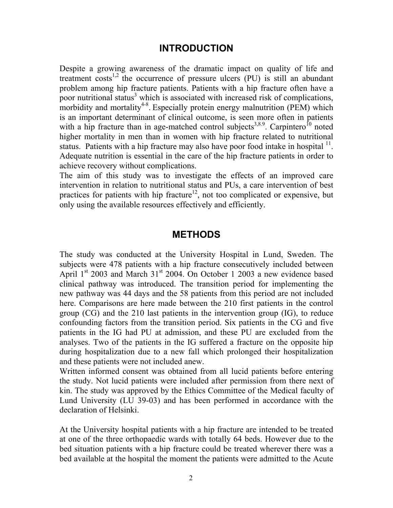#### **INTRODUCTION**

Despite a growing awareness of the dramatic impact on quality of life and treatment costs<sup>1,2</sup> the occurrence of pressure ulcers  $(PU)$  is still an abundant problem among hip fracture patients. Patients with a hip fracture often have a poor nutritional status<sup>3</sup> which is associated with increased risk of complications, morbidity and mortality<sup>4-8</sup>. Especially protein energy malnutrition (PEM) which is an important determinant of clinical outcome, is seen more often in patients with a hip fracture than in age-matched control subjects<sup>3,8.9</sup>. Carpintero<sup>10</sup> noted higher mortality in men than in women with hip fracture related to nutritional status. Patients with a hip fracture may also have poor food intake in hospital  $11$ . Adequate nutrition is essential in the care of the hip fracture patients in order to achieve recovery without complications.

The aim of this study was to investigate the effects of an improved care intervention in relation to nutritional status and PUs, a care intervention of best practices for patients with hip fracture<sup>12</sup>, not too complicated or expensive, but only using the available resources effectively and efficiently.

#### **METHODS**

The study was conducted at the University Hospital in Lund, Sweden. The subjects were 478 patients with a hip fracture consecutively included between April  $1<sup>st</sup>$  2003 and March 31 $<sup>st</sup>$  2004. On October 1 2003 a new evidence based</sup> clinical pathway was introduced. The transition period for implementing the new pathway was 44 days and the 58 patients from this period are not included here. Comparisons are here made between the 210 first patients in the control group (CG) and the 210 last patients in the intervention group (IG), to reduce confounding factors from the transition period. Six patients in the CG and five patients in the IG had PU at admission, and these PU are excluded from the analyses. Two of the patients in the IG suffered a fracture on the opposite hip during hospitalization due to a new fall which prolonged their hospitalization and these patients were not included anew.

Written informed consent was obtained from all lucid patients before entering the study. Not lucid patients were included after permission from there next of kin. The study was approved by the Ethics Committee of the Medical faculty of Lund University (LU 39-03) and has been performed in accordance with the declaration of Helsinki.

At the University hospital patients with a hip fracture are intended to be treated at one of the three orthopaedic wards with totally 64 beds. However due to the bed situation patients with a hip fracture could be treated wherever there was a bed available at the hospital the moment the patients were admitted to the Acute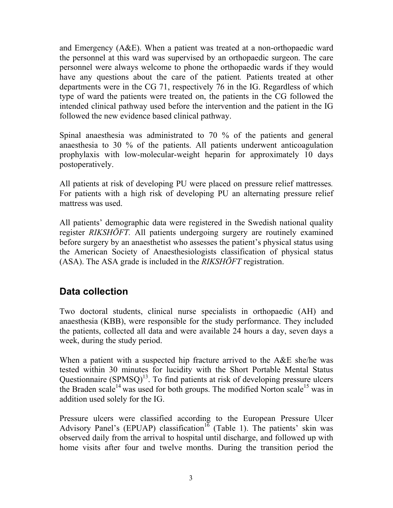and Emergency (A&E). When a patient was treated at a non-orthopaedic ward the personnel at this ward was supervised by an orthopaedic surgeon. The care personnel were always welcome to phone the orthopaedic wards if they would have any questions about the care of the patient*.* Patients treated at other departments were in the CG 71, respectively 76 in the IG. Regardless of which type of ward the patients were treated on, the patients in the CG followed the intended clinical pathway used before the intervention and the patient in the IG followed the new evidence based clinical pathway.

Spinal anaesthesia was administrated to 70 % of the patients and general anaesthesia to 30 % of the patients. All patients underwent anticoagulation prophylaxis with low-molecular-weight heparin for approximately 10 days postoperatively.

All patients at risk of developing PU were placed on pressure relief mattresses*.* For patients with a high risk of developing PU an alternating pressure relief mattress was used.

All patients' demographic data were registered in the Swedish national quality register *RIKSHÖFT.* All patients undergoing surgery are routinely examined before surgery by an anaesthetist who assesses the patient's physical status using the American Society of Anaesthesiologists classification of physical status (ASA). The ASA grade is included in the *RIKSHÖFT* registration.

## **Data collection**

Two doctoral students, clinical nurse specialists in orthopaedic (AH) and anaesthesia (KBB), were responsible for the study performance. They included the patients, collected all data and were available 24 hours a day, seven days a week, during the study period.

When a patient with a suspected hip fracture arrived to the A&E she/he was tested within 30 minutes for lucidity with the Short Portable Mental Status Questionnaire  $(SPMSO)^{13}$ . To find patients at risk of developing pressure ulcers the Braden scale<sup>14</sup> was used for both groups. The modified Norton scale<sup>15</sup> was in addition used solely for the IG.

Pressure ulcers were classified according to the European Pressure Ulcer Advisory Panel's (EPUAP) classification<sup>16</sup> (Table 1). The patients' skin was observed daily from the arrival to hospital until discharge, and followed up with home visits after four and twelve months. During the transition period the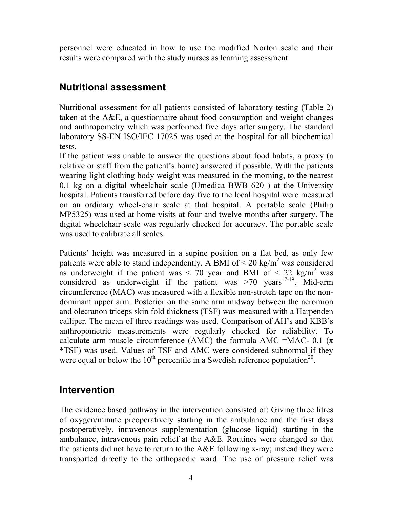personnel were educated in how to use the modified Norton scale and their results were compared with the study nurses as learning assessment

### **Nutritional assessment**

Nutritional assessment for all patients consisted of laboratory testing (Table 2) taken at the A&E, a questionnaire about food consumption and weight changes and anthropometry which was performed five days after surgery. The standard laboratory SS-EN ISO/IEC 17025 was used at the hospital for all biochemical tests.

If the patient was unable to answer the questions about food habits, a proxy (a relative or staff from the patient's home) answered if possible. With the patients wearing light clothing body weight was measured in the morning, to the nearest 0,1 kg on a digital wheelchair scale (Umedica BWB 620 ) at the University hospital. Patients transferred before day five to the local hospital were measured on an ordinary wheel-chair scale at that hospital. A portable scale (Philip MP5325) was used at home visits at four and twelve months after surgery. The digital wheelchair scale was regularly checked for accuracy. The portable scale was used to calibrate all scales.

Patients' height was measured in a supine position on a flat bed, as only few patients were able to stand independently. A BMI of  $\leq 20 \text{ kg/m}^2$  was considered as underweight if the patient was  $\lt$  70 year and BMI of  $\lt$  22 kg/m<sup>2</sup> was considered as underweight if the patient was  $>70$  years<sup>17-19</sup>. Mid-arm circumference (MAC) was measured with a flexible non-stretch tape on the nondominant upper arm. Posterior on the same arm midway between the acromion and olecranon triceps skin fold thickness (TSF) was measured with a Harpenden calliper. The mean of three readings was used. Comparison of AH's and KBB's anthropometric measurements were regularly checked for reliability. To calculate arm muscle circumference (AMC) the formula AMC =MAC- 0,1 ( $\pi$ ) \*TSF) was used. Values of TSF and AMC were considered subnormal if they were equal or below the  $10^{th}$  percentile in a Swedish reference population<sup>20</sup>.

#### **Intervention**

The evidence based pathway in the intervention consisted of: Giving three litres of oxygen/minute preoperatively starting in the ambulance and the first days postoperatively, intravenous supplementation (glucose liquid) starting in the ambulance, intravenous pain relief at the A&E. Routines were changed so that the patients did not have to return to the A&E following x-ray; instead they were transported directly to the orthopaedic ward. The use of pressure relief was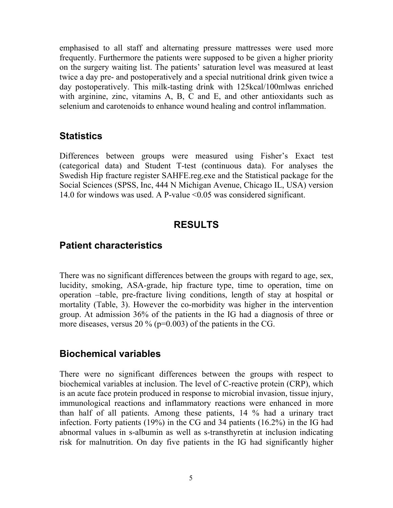emphasised to all staff and alternating pressure mattresses were used more frequently. Furthermore the patients were supposed to be given a higher priority on the surgery waiting list. The patients' saturation level was measured at least twice a day pre- and postoperatively and a special nutritional drink given twice a day postoperatively. This milk-tasting drink with 125kcal/100mlwas enriched with arginine, zinc, vitamins A, B, C and E, and other antioxidants such as selenium and carotenoids to enhance wound healing and control inflammation.

#### **Statistics**

Differences between groups were measured using Fisher's Exact test (categorical data) and Student T-test (continuous data). For analyses the Swedish Hip fracture register SAHFE.reg.exe and the Statistical package for the Social Sciences (SPSS, Inc, 444 N Michigan Avenue, Chicago IL, USA) version 14.0 for windows was used. A P-value <0.05 was considered significant.

## **RESULTS**

#### **Patient characteristics**

There was no significant differences between the groups with regard to age, sex, lucidity, smoking, ASA-grade, hip fracture type, time to operation, time on operation –table, pre-fracture living conditions, length of stay at hospital or mortality (Table, 3). However the co-morbidity was higher in the intervention group. At admission 36% of the patients in the IG had a diagnosis of three or more diseases, versus  $20\%$  (p=0.003) of the patients in the CG.

#### **Biochemical variables**

There were no significant differences between the groups with respect to biochemical variables at inclusion. The level of C-reactive protein (CRP), which is an acute face protein produced in response to microbial invasion, tissue injury, immunological reactions and inflammatory reactions were enhanced in more than half of all patients. Among these patients, 14 % had a urinary tract infection. Forty patients (19%) in the CG and 34 patients (16.2%) in the IG had abnormal values in s-albumin as well as s-transthyretin at inclusion indicating risk for malnutrition. On day five patients in the IG had significantly higher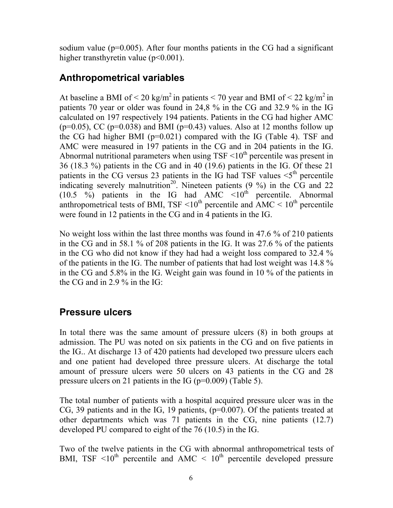sodium value ( $p=0.005$ ). After four months patients in the CG had a significant higher transthyretin value (p<0.001).

#### **Anthropometrical variables**

At baseline a BMI of  $\leq 20 \text{ kg/m}^2$  in patients  $\leq 70$  year and BMI of  $\leq 22 \text{ kg/m}^2$  in patients 70 year or older was found in 24,8 % in the CG and 32.9 % in the IG calculated on 197 respectively 194 patients. Patients in the CG had higher AMC ( $p=0.05$ ), CC ( $p=0.038$ ) and BMI ( $p=0.43$ ) values. Also at 12 months follow up the CG had higher BMI (p=0.021) compared with the IG (Table 4). TSF and AMC were measured in 197 patients in the CG and in 204 patients in the IG. Abnormal nutritional parameters when using  $TSF \leq 10^{th}$  percentile was present in 36 (18.3 %) patients in the CG and in 40 (19.6) patients in the IG. Of these 21 patients in the CG versus 23 patients in the IG had TSF values  $\leq 5$ <sup>th</sup> percentile indicating severely malnutrition<sup>20</sup>. Nineteen patients  $(9\% )$  in the CG and 22 (10.5 %) patients in the IG had  $AMC \le 10^{th}$  percentile. Abnormal anthropometrical tests of BMI, TSF  $\leq 10^{th}$  percentile and AMC  $\leq 10^{th}$  percentile were found in 12 patients in the CG and in 4 patients in the IG.

No weight loss within the last three months was found in 47.6 % of 210 patients in the CG and in 58.1 % of 208 patients in the IG. It was 27.6 % of the patients in the CG who did not know if they had had a weight loss compared to 32.4 % of the patients in the IG. The number of patients that had lost weight was 14.8 % in the CG and 5.8% in the IG. Weight gain was found in 10 % of the patients in the CG and in 2.9 % in the IG:

#### **Pressure ulcers**

In total there was the same amount of pressure ulcers (8) in both groups at admission. The PU was noted on six patients in the CG and on five patients in the IG.. At discharge 13 of 420 patients had developed two pressure ulcers each and one patient had developed three pressure ulcers. At discharge the total amount of pressure ulcers were 50 ulcers on 43 patients in the CG and 28 pressure ulcers on 21 patients in the IG ( $p=0.009$ ) (Table 5).

The total number of patients with a hospital acquired pressure ulcer was in the CG, 39 patients and in the IG, 19 patients, (p=0.007). Of the patients treated at other departments which was 71 patients in the CG, nine patients (12.7) developed PU compared to eight of the 76 (10.5) in the IG.

Two of the twelve patients in the CG with abnormal anthropometrical tests of BMI, TSF  $\leq 10^{th}$  percentile and AMC  $\leq 10^{th}$  percentile developed pressure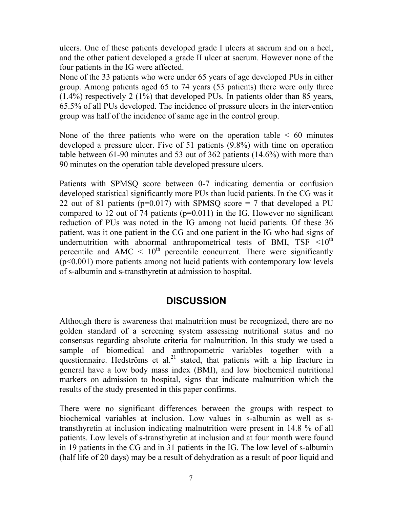ulcers. One of these patients developed grade I ulcers at sacrum and on a heel, and the other patient developed a grade II ulcer at sacrum. However none of the four patients in the IG were affected.

None of the 33 patients who were under 65 years of age developed PUs in either group. Among patients aged 65 to 74 years (53 patients) there were only three (1.4%) respectively 2 (1%) that developed PUs. In patients older than 85 years, 65.5% of all PUs developed. The incidence of pressure ulcers in the intervention group was half of the incidence of same age in the control group.

None of the three patients who were on the operation table  $\leq 60$  minutes developed a pressure ulcer. Five of 51 patients (9.8%) with time on operation table between 61-90 minutes and 53 out of 362 patients (14.6%) with more than 90 minutes on the operation table developed pressure ulcers.

Patients with SPMSQ score between 0-7 indicating dementia or confusion developed statistical significantly more PUs than lucid patients. In the CG was it 22 out of 81 patients ( $p=0.017$ ) with SPMSQ score = 7 that developed a PU compared to 12 out of 74 patients (p=0.011) in the IG. However no significant reduction of PUs was noted in the IG among not lucid patients. Of these 36 patient, was it one patient in the CG and one patient in the IG who had signs of undernutrition with abnormal anthropometrical tests of BMI,  $TSF \le 10^{th}$ percentile and AMC  $\leq 10^{th}$  percentile concurrent. There were significantly (p<0.001) more patients among not lucid patients with contemporary low levels of s-albumin and s-transthyretin at admission to hospital.

#### **DISCUSSION**

Although there is awareness that malnutrition must be recognized, there are no golden standard of a screening system assessing nutritional status and no consensus regarding absolute criteria for malnutrition. In this study we used a sample of biomedical and anthropometric variables together with a questionnaire. Hedströms et al.<sup>21</sup> stated, that patients with a hip fracture in general have a low body mass index (BMI), and low biochemical nutritional markers on admission to hospital, signs that indicate malnutrition which the results of the study presented in this paper confirms.

There were no significant differences between the groups with respect to biochemical variables at inclusion. Low values in s-albumin as well as stransthyretin at inclusion indicating malnutrition were present in 14.8 % of all patients. Low levels of s-transthyretin at inclusion and at four month were found in 19 patients in the CG and in 31 patients in the IG. The low level of s-albumin (half life of 20 days) may be a result of dehydration as a result of poor liquid and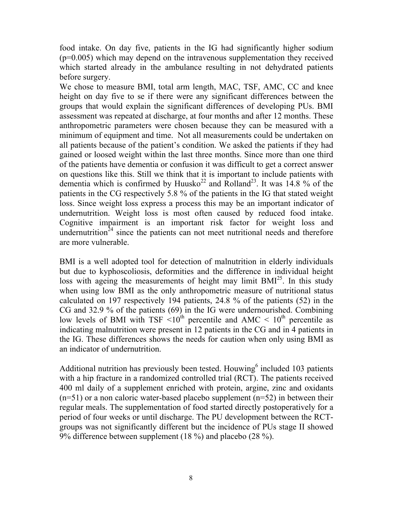food intake. On day five, patients in the IG had significantly higher sodium  $(p=0.005)$  which may depend on the intravenous supplementation they received which started already in the ambulance resulting in not dehydrated patients before surgery.

We chose to measure BMI, total arm length, MAC, TSF, AMC, CC and knee height on day five to se if there were any significant differences between the groups that would explain the significant differences of developing PUs. BMI assessment was repeated at discharge, at four months and after 12 months. These anthropometric parameters were chosen because they can be measured with a minimum of equipment and time. Not all measurements could be undertaken on all patients because of the patient's condition. We asked the patients if they had gained or loosed weight within the last three months. Since more than one third of the patients have dementia or confusion it was difficult to get a correct answer on questions like this. Still we think that it is important to include patients with dementia which is confirmed by Huusko<sup>22</sup> and Rolland<sup>23</sup>. It was  $14.8\%$  of the patients in the CG respectively 5.8 % of the patients in the IG that stated weight loss. Since weight loss express a process this may be an important indicator of undernutrition. Weight loss is most often caused by reduced food intake. Cognitive impairment is an important risk factor for weight loss and undernutrition<sup> $24$ </sup> since the patients can not meet nutritional needs and therefore are more vulnerable.

BMI is a well adopted tool for detection of malnutrition in elderly individuals but due to kyphoscoliosis, deformities and the difference in individual height loss with ageing the measurements of height may limit BMI<sup>25</sup>. In this study when using low BMI as the only anthropometric measure of nutritional status calculated on 197 respectively 194 patients, 24.8 % of the patients (52) in the CG and 32.9 % of the patients (69) in the IG were undernourished. Combining low levels of BMI with TSF  $\leq 10^{th}$  percentile and AMC  $\leq 10^{th}$  percentile as indicating malnutrition were present in 12 patients in the CG and in 4 patients in the IG. These differences shows the needs for caution when only using BMI as an indicator of undernutrition.

Additional nutrition has previously been tested. Houwing<sup>6</sup> included 103 patients with a hip fracture in a randomized controlled trial (RCT). The patients received 400 ml daily of a supplement enriched with protein, argine, zinc and oxidants  $(n=51)$  or a non caloric water-based placebo supplement  $(n=52)$  in between their regular meals. The supplementation of food started directly postoperatively for a period of four weeks or until discharge. The PU development between the RCTgroups was not significantly different but the incidence of PUs stage II showed 9% difference between supplement (18 %) and placebo (28 %).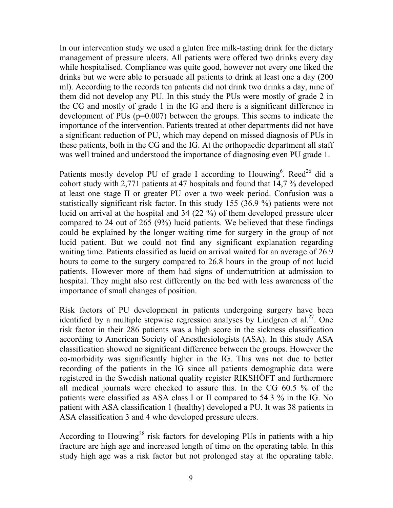In our intervention study we used a gluten free milk-tasting drink for the dietary management of pressure ulcers. All patients were offered two drinks every day while hospitalised. Compliance was quite good, however not every one liked the drinks but we were able to persuade all patients to drink at least one a day (200 ml). According to the records ten patients did not drink two drinks a day, nine of them did not develop any PU. In this study the PUs were mostly of grade 2 in the CG and mostly of grade 1 in the IG and there is a significant difference in development of PUs (p=0.007) between the groups. This seems to indicate the importance of the intervention. Patients treated at other departments did not have a significant reduction of PU, which may depend on missed diagnosis of PUs in these patients, both in the CG and the IG. At the orthopaedic department all staff was well trained and understood the importance of diagnosing even PU grade 1.

Patients mostly develop PU of grade I according to Houwing<sup>6</sup>. Reed<sup>26</sup> did a cohort study with 2,771 patients at 47 hospitals and found that 14,7 % developed at least one stage II or greater PU over a two week period. Confusion was a statistically significant risk factor. In this study 155 (36.9 %) patients were not lucid on arrival at the hospital and 34 (22 %) of them developed pressure ulcer compared to 24 out of 265 (9%) lucid patients. We believed that these findings could be explained by the longer waiting time for surgery in the group of not lucid patient. But we could not find any significant explanation regarding waiting time. Patients classified as lucid on arrival waited for an average of 26.9 hours to come to the surgery compared to 26.8 hours in the group of not lucid patients. However more of them had signs of undernutrition at admission to hospital. They might also rest differently on the bed with less awareness of the importance of small changes of position.

Risk factors of PU development in patients undergoing surgery have been identified by a multiple stepwise regression analyses by Lindgren et al.<sup>27</sup>. One risk factor in their 286 patients was a high score in the sickness classification according to American Society of Anesthesiologists (ASA). In this study ASA classification showed no significant difference between the groups. However the co-morbidity was significantly higher in the IG. This was not due to better recording of the patients in the IG since all patients demographic data were registered in the Swedish national quality register RIKSHÖFT and furthermore all medical journals were checked to assure this. In the CG 60.5 % of the patients were classified as ASA class I or II compared to 54.3 % in the IG. No patient with ASA classification 1 (healthy) developed a PU. It was 38 patients in ASA classification 3 and 4 who developed pressure ulcers.

According to Houwing<sup>28</sup> risk factors for developing PUs in patients with a hip fracture are high age and increased length of time on the operating table. In this study high age was a risk factor but not prolonged stay at the operating table.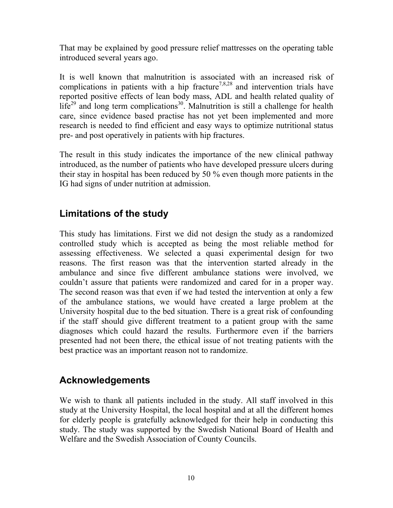That may be explained by good pressure relief mattresses on the operating table introduced several years ago.

It is well known that malnutrition is associated with an increased risk of complications in patients with a hip fracture<sup>7,8,28</sup> and intervention trials have reported positive effects of lean body mass, ADL and health related quality of  $life^{29}$  and long term complications<sup>30</sup>. Malnutrition is still a challenge for health care, since evidence based practise has not yet been implemented and more research is needed to find efficient and easy ways to optimize nutritional status pre- and post operatively in patients with hip fractures.

The result in this study indicates the importance of the new clinical pathway introduced, as the number of patients who have developed pressure ulcers during their stay in hospital has been reduced by 50 % even though more patients in the IG had signs of under nutrition at admission.

## **Limitations of the study**

This study has limitations. First we did not design the study as a randomized controlled study which is accepted as being the most reliable method for assessing effectiveness. We selected a quasi experimental design for two reasons. The first reason was that the intervention started already in the ambulance and since five different ambulance stations were involved, we couldn't assure that patients were randomized and cared for in a proper way. The second reason was that even if we had tested the intervention at only a few of the ambulance stations, we would have created a large problem at the University hospital due to the bed situation. There is a great risk of confounding if the staff should give different treatment to a patient group with the same diagnoses which could hazard the results. Furthermore even if the barriers presented had not been there, the ethical issue of not treating patients with the best practice was an important reason not to randomize.

## **Acknowledgements**

We wish to thank all patients included in the study. All staff involved in this study at the University Hospital, the local hospital and at all the different homes for elderly people is gratefully acknowledged for their help in conducting this study. The study was supported by the Swedish National Board of Health and Welfare and the Swedish Association of County Councils.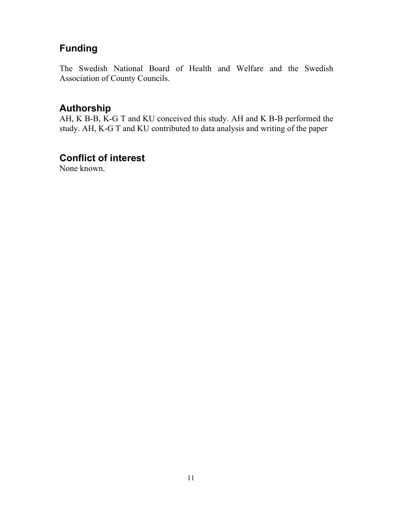# **Funding**

The Swedish National Board of Health and Welfare and the Swedish Association of County Councils.

#### **Authorship**

AH, K B-B, K-G T and KU conceived this study. AH and K B-B performed the study. AH, K-G T and KU contributed to data analysis and writing of the paper

#### **Conflict of interest**

None known.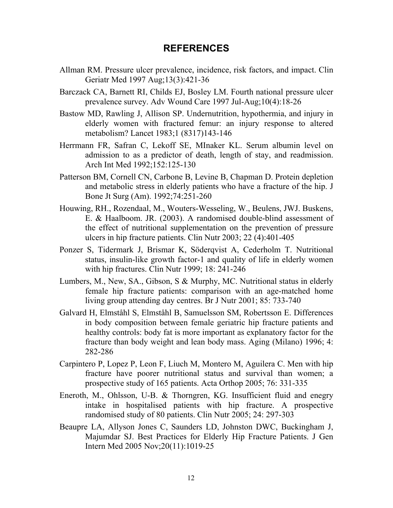#### **REFERENCES**

- Allman RM. Pressure ulcer prevalence, incidence, risk factors, and impact. Clin Geriatr Med 1997 Aug;13(3):421-36
- Barczack CA, Barnett RI, Childs EJ, Bosley LM. Fourth national pressure ulcer prevalence survey. Adv Wound Care 1997 Jul-Aug;10(4):18-26
- Bastow MD, Rawling J, Allison SP. Undernutrition, hypothermia, and injury in elderly women with fractured femur: an injury response to altered metabolism? Lancet 1983;1 (8317)143-146
- Herrmann FR, Safran C, Lekoff SE, MInaker KL. Serum albumin level on admission to as a predictor of death, length of stay, and readmission. Arch Int Med 1992;152:125-130
- Patterson BM, Cornell CN, Carbone B, Levine B, Chapman D. Protein depletion and metabolic stress in elderly patients who have a fracture of the hip. J Bone Jt Surg (Am). 1992;74:251-260
- Houwing, RH., Rozendaal, M., Wouters-Wesseling, W., Beulens, JWJ. Buskens, E. & Haalboom. JR. (2003). A randomised double-blind assessment of the effect of nutritional supplementation on the prevention of pressure ulcers in hip fracture patients. Clin Nutr 2003; 22 (4):401-405
- Ponzer S, Tidermark J, Brismar K, Söderqvist A, Cederholm T. Nutritional status, insulin-like growth factor-1 and quality of life in elderly women with hip fractures. Clin Nutr 1999; 18: 241-246
- Lumbers, M., New, SA., Gibson, S & Murphy, MC. Nutritional status in elderly female hip fracture patients: comparison with an age-matched home living group attending day centres. Br J Nutr 2001; 85: 733-740
- Galvard H, Elmståhl S, Elmståhl B, Samuelsson SM, Robertsson E. Differences in body composition between female geriatric hip fracture patients and healthy controls: body fat is more important as explanatory factor for the fracture than body weight and lean body mass. Aging (Milano) 1996; 4: 282-286
- Carpintero P, Lopez P, Leon F, Liuch M, Montero M, Aguilera C. Men with hip fracture have poorer nutritional status and survival than women; a prospective study of 165 patients. Acta Orthop 2005; 76: 331-335
- Eneroth, M., Ohlsson, U-B. & Thorngren, KG. Insufficient fluid and enegry intake in hospitalised patients with hip fracture. A prospective randomised study of 80 patients. Clin Nutr 2005; 24: 297-303
- Beaupre LA, Allyson Jones C, Saunders LD, Johnston DWC, Buckingham J, Majumdar SJ. Best Practices for Elderly Hip Fracture Patients. J Gen Intern Med 2005 Nov;20(11):1019-25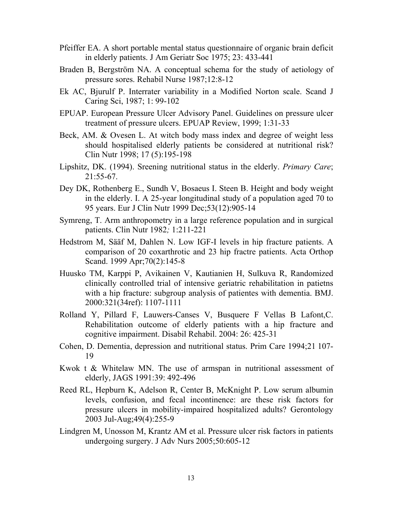- Pfeiffer EA. A short portable mental status questionnaire of organic brain deficit in elderly patients. J Am Geriatr Soc 1975; 23: 433-441
- Braden B, Bergström NA. A conceptual schema for the study of aetiology of pressure sores. Rehabil Nurse 1987;12:8-12
- Ek AC, Bjurulf P. Interrater variability in a Modified Norton scale. Scand J Caring Sci, 1987; 1: 99-102
- EPUAP. European Pressure Ulcer Advisory Panel. Guidelines on pressure ulcer treatment of pressure ulcers. EPUAP Review, 1999; 1:31-33
- Beck, AM. & Ovesen L. At witch body mass index and degree of weight less should hospitalised elderly patients be considered at nutritional risk? Clin Nutr 1998; 17 (5):195-198
- Lipshitz, DK. (1994). Sreening nutritional status in the elderly. *Primary Care*; 21:55-67.
- Dey DK, Rothenberg E., Sundh V, Bosaeus I. Steen B. Height and body weight in the elderly. I. A 25-year longitudinal study of a population aged 70 to 95 years. Eur J Clin Nutr 1999 Dec;53(12):905-14
- Symreng, T. Arm anthropometry in a large reference population and in surgical patients. Clin Nutr 1982*;* 1:211-221
- Hedstrom M, Sääf M, Dahlen N. Low IGF-I levels in hip fracture patients. A comparison of 20 coxarthrotic and 23 hip fractre patients. Acta Orthop Scand. 1999 Apr;70(2):145-8
- Huusko TM, Karppi P, Avikainen V, Kautianien H, Sulkuva R, Randomized clinically controlled trial of intensive geriatric rehabilitation in patietns with a hip fracture: subgroup analysis of patientes with dementia. BMJ. 2000:321(34ref): 1107-1111
- Rolland Y, Pillard F, Lauwers-Canses V, Busquere F Vellas B Lafont,C. Rehabilitation outcome of elderly patients with a hip fracture and cognitive impairment. Disabil Rehabil. 2004: 26: 425-31
- Cohen, D. Dementia, depression and nutritional status. Prim Care 1994;21 107- 19
- Kwok t & Whitelaw MN. The use of armspan in nutritional assessment of elderly, JAGS 1991:39: 492-496
- Reed RL, Hepburn K, Adelson R, Center B, McKnight P. Low serum albumin levels, confusion, and fecal incontinence: are these risk factors for pressure ulcers in mobility-impaired hospitalized adults? Gerontology 2003 Jul-Aug;49(4):255-9
- Lindgren M, Unosson M, Krantz AM et al. Pressure ulcer risk factors in patients undergoing surgery. J Adv Nurs 2005;50:605-12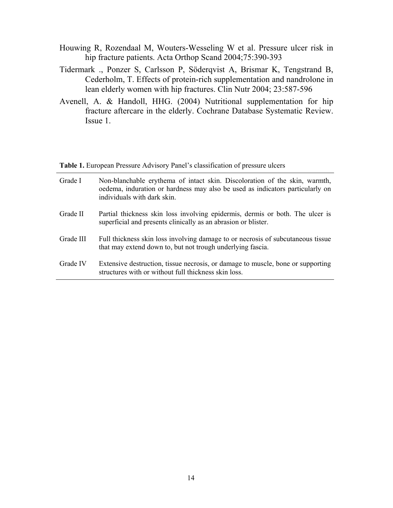- Houwing R, Rozendaal M, Wouters-Wesseling W et al. Pressure ulcer risk in hip fracture patients. Acta Orthop Scand 2004;75:390-393
- Tidermark ., Ponzer S, Carlsson P, Söderqvist A, Brismar K, Tengstrand B, Cederholm, T. Effects of protein-rich supplementation and nandrolone in lean elderly women with hip fractures. Clin Nutr 2004; 23:587-596
- Avenell, A. & Handoll, HHG. (2004) Nutritional supplementation for hip fracture aftercare in the elderly. Cochrane Database Systematic Review. Issue 1.

**Table 1.** European Pressure Advisory Panel's classification of pressure ulcers

| Grade I   | Non-blanchable erythema of intact skin. Discoloration of the skin, warmth,<br>oedema, induration or hardness may also be used as indicators particularly on<br>individuals with dark skin. |
|-----------|--------------------------------------------------------------------------------------------------------------------------------------------------------------------------------------------|
| Grade II  | Partial thickness skin loss involving epidermis, dermis or both. The ulcer is<br>superficial and presents clinically as an abrasion or blister.                                            |
| Grade III | Full thickness skin loss involving damage to or necrosis of subcutaneous tissue<br>that may extend down to, but not trough underlying fascia.                                              |
| Grade IV  | Extensive destruction, tissue necrosis, or damage to muscle, bone or supporting<br>structures with or without full thickness skin loss.                                                    |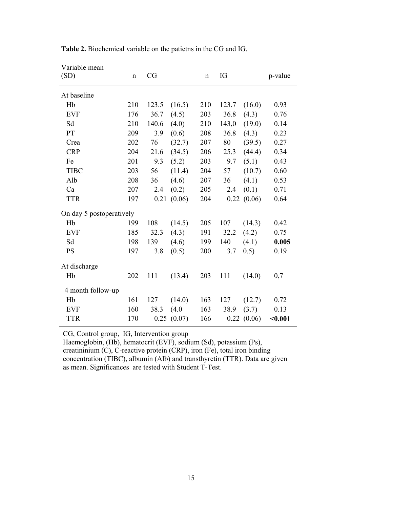| Variable mean<br>(SD)    | $\mathbf n$ | CG    |        | $\mathbf n$ | IG    |            | p-value |  |
|--------------------------|-------------|-------|--------|-------------|-------|------------|---------|--|
| At baseline              |             |       |        |             |       |            |         |  |
| Hb                       | 210         | 123.5 | (16.5) | 210         | 123.7 | (16.0)     | 0.93    |  |
| <b>EVF</b>               | 176         | 36.7  | (4.5)  | 203         | 36.8  | (4.3)      | 0.76    |  |
| Sd                       | 210         | 140.6 | (4.0)  | 210         | 143,0 | (19.0)     | 0.14    |  |
| PT                       | 209         | 3.9   | (0.6)  | 208         | 36.8  | (4.3)      | 0.23    |  |
| Crea                     | 202         | 76    | (32.7) | 207         | 80    | (39.5)     | 0.27    |  |
| <b>CRP</b>               | 204         | 21.6  | (34.5) | 206         | 25.3  | (44.4)     | 0.34    |  |
| Fe                       | 201         | 9.3   | (5.2)  | 203         | 9.7   | (5.1)      | 0.43    |  |
| <b>TIBC</b>              | 203         | 56    | (11.4) | 204         | 57    | (10.7)     | 0.60    |  |
| Alb                      | 208         | 36    | (4.6)  | 207         | 36    | (4.1)      | 0.53    |  |
| Ca                       | 207         | 2.4   | (0.2)  | 205         | 2.4   | (0.1)      | 0.71    |  |
| <b>TTR</b>               | 197         | 0.21  | (0.06) | 204         |       | 0.22(0.06) | 0.64    |  |
| On day 5 postoperatively |             |       |        |             |       |            |         |  |
| Hb                       | 199         | 108   | (14.5) | 205         | 107   | (14.3)     | 0.42    |  |
| <b>EVF</b>               | 185         | 32.3  | (4.3)  | 191         | 32.2  | (4.2)      | 0.75    |  |
| Sd                       | 198         | 139   | (4.6)  | 199         | 140   | (4.1)      | 0.005   |  |
| <b>PS</b>                | 197         | 3.8   | (0.5)  | 200         | 3.7   | 0.5)       | 0.19    |  |
| At discharge             |             |       |        |             |       |            |         |  |
| Hb                       | 202         | 111   | (13.4) | 203         | 111   | (14.0)     | 0,7     |  |
| 4 month follow-up        |             |       |        |             |       |            |         |  |
| Hb                       | 161         | 127   | (14.0) | 163         | 127   | (12.7)     | 0.72    |  |
| <b>EVF</b>               | 160         | 38.3  | (4.0)  | 163         | 38.9  | (3.7)      | 0.13    |  |
| <b>TTR</b>               | 170         | 0.25  | (0.07) | 166         |       | 0.22(0.06) | $0.001$ |  |

**Table 2.** Biochemical variable on the patietns in the CG and IG.

CG, Control group, IG, Intervention group

Haemoglobin, (Hb), hematocrit (EVF), sodium (Sd), potassium (Ps), creatininium (C), C-reactive protein (CRP), iron (Fe), total iron binding concentration (TIBC), albumin (Alb) and transthyretin (TTR). Data are given as mean. Significances are tested with Student T-Test.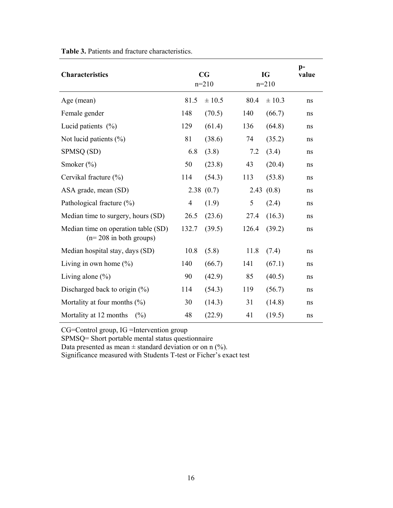| <b>Characteristics</b>                                          |                | $\mathbf{C}\mathbf{G}$<br>$n=210$ |       | <b>IG</b><br>$n=210$ |    |
|-----------------------------------------------------------------|----------------|-----------------------------------|-------|----------------------|----|
| Age (mean)                                                      | 81.5           | ± 10.5                            | 80.4  | $\pm 10.3$           | ns |
| Female gender                                                   | 148            | (70.5)                            | 140   | (66.7)               | ns |
| Lucid patients $(\% )$                                          | 129            | (61.4)                            | 136   | (64.8)               | ns |
| Not lucid patients (%)                                          | 81             | (38.6)                            | 74    | (35.2)               | ns |
| SPMSQ (SD)                                                      | 6.8            | (3.8)                             | 7.2   | (3.4)                | ns |
| Smoker $(\% )$                                                  | 50             | (23.8)                            | 43    | (20.4)               | ns |
| Cervikal fracture (%)                                           | 114            | (54.3)                            | 113   | (53.8)               | ns |
| ASA grade, mean (SD)                                            |                | 2.38(0.7)                         | 2.43  | (0.8)                | ns |
| Pathological fracture (%)                                       | $\overline{4}$ | (1.9)                             | 5     | (2.4)                | ns |
| Median time to surgery, hours (SD)                              | 26.5           | (23.6)                            | 27.4  | (16.3)               | ns |
| Median time on operation table (SD)<br>$(n=208$ in both groups) | 132.7          | (39.5)                            | 126.4 | (39.2)               | ns |
| Median hospital stay, days (SD)                                 | 10.8           | (5.8)                             | 11.8  | (7.4)                | ns |
| Living in own home $(\%)$                                       | 140            | (66.7)                            | 141   | (67.1)               | ns |
| Living alone $(\%)$                                             | 90             | (42.9)                            | 85    | (40.5)               | ns |
| Discharged back to origin $(\%)$                                | 114            | (54.3)                            | 119   | (56.7)               | ns |
| Mortality at four months $(\% )$                                | 30             | (14.3)                            | 31    | (14.8)               | ns |
| Mortality at 12 months<br>(%)                                   | 48             | (22.9)                            | 41    | (19.5)               | ns |

**Table 3.** Patients and fracture characteristics.

CG=Control group, IG =Intervention group

SPMSQ= Short portable mental status questionnaire

Data presented as mean  $\pm$  standard deviation or on n (%).

Significance measured with Students T-test or Ficher's exact test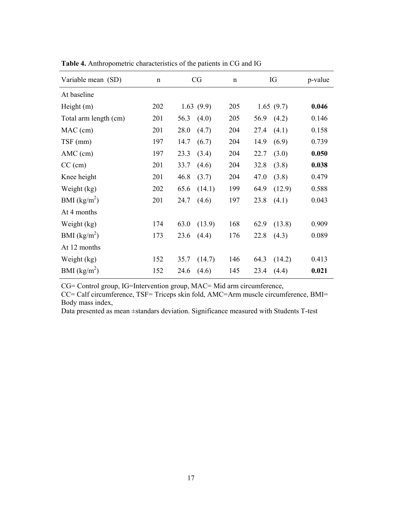| Variable mean (SD)    | $\mathbf n$ | CG             | $\mathbf n$ | IG             | p-value |
|-----------------------|-------------|----------------|-------------|----------------|---------|
| At baseline           |             |                |             |                |         |
| Height $(m)$          | 202         | 1.63(9.9)      | 205         | 1.65(9.7)      | 0.046   |
| Total arm length (cm) | 201         | 56.3<br>(4.0)  | 205         | 56.9<br>(4.2)  | 0.146   |
| MAC (cm)              | 201         | 28.0<br>(4.7)  | 204         | (4.1)<br>27.4  | 0.158   |
| TSF (mm)              | 197         | 14.7<br>(6.7)  | 204         | 14.9<br>(6.9)  | 0.739   |
| $AMC$ (cm)            | 197         | (3.4)<br>23.3  | 204         | (3.0)<br>22.7  | 0.050   |
| $CC$ (cm)             | 201         | 33.7<br>(4.6)  | 204         | (3.8)<br>32.8  | 0.038   |
| Knee height           | 201         | 46.8<br>(3.7)  | 204         | 47.0<br>(3.8)  | 0.479   |
| Weight (kg)           | 202         | 65.6<br>(14.1) | 199         | (12.9)<br>64.9 | 0.588   |
| BMI $(kg/m^2)$        | 201         | 24.7<br>(4.6)  | 197         | 23.8<br>(4.1)  | 0.043   |
| At 4 months           |             |                |             |                |         |
| Weight (kg)           | 174         | (13.9)<br>63.0 | 168         | 62.9<br>(13.8) | 0.909   |
| BMI $(kg/m^2)$        | 173         | 23.6<br>(4.4)  | 176         | 22.8<br>(4.3)  | 0.089   |
| At 12 months          |             |                |             |                |         |
| Weight (kg)           | 152         | (14.7)<br>35.7 | 146         | 64.3<br>(14.2) | 0.413   |
| BMI $(kg/m^2)$        | 152         | 24.6<br>(4.6)  | 145         | 23.4<br>(4.4)  | 0.021   |

**Table 4.** Anthropometric characteristics of the patients in CG and IG

CG= Control group, IG=Intervention group, MAC= Mid arm circumference,

CC= Calf circumference, TSF= Triceps skin fold, AMC=Arm muscle circumference, BMI= Body mass index,

Data presented as mean ±standars deviation. Significance measured with Students T-test